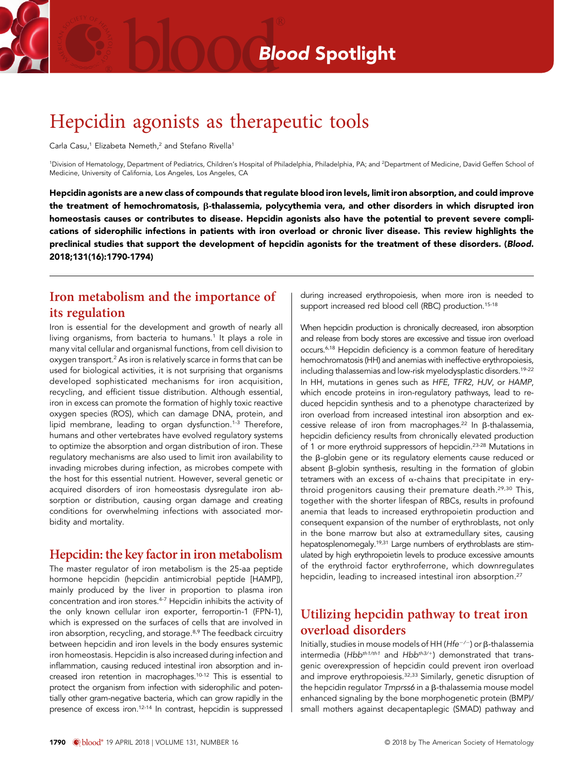# Hepcidin agonists as therapeutic tools

Carla Casu,<sup>1</sup> Elizabeta Nemeth,<sup>2</sup> and Stefano Rivella<sup>1</sup>

<sup>1</sup>Division of Hematology, Department of Pediatrics, Children's Hospital of Philadelphia, Philadelphia, PA; and <sup>2</sup>Department of Medicine, David Geffen School of Medicine, University of California, Los Angeles, Los Angeles, CA

Hepcidin agonists are a new class of compounds that regulate blood iron levels, limit iron absorption, and could improve the treatment of hemochromatosis,  $\beta$ -thalassemia, polycythemia vera, and other disorders in which disrupted iron homeostasis causes or contributes to disease. Hepcidin agonists also have the potential to prevent severe complications of siderophilic infections in patients with iron overload or chronic liver disease. This review highlights the preclinical studies that support the development of hepcidin agonists for the treatment of these disorders. (Blood. 2018;131(16):1790-1794)

### Iron metabolism and the importance of its regulation

Iron is essential for the development and growth of nearly all living organisms, from bacteria to humans.<sup>1</sup> It plays a role in many vital cellular and organismal functions, from cell division to oxygen transport.<sup>2</sup> As iron is relatively scarce in forms that can be used for biological activities, it is not surprising that organisms developed sophisticated mechanisms for iron acquisition, recycling, and efficient tissue distribution. Although essential, iron in excess can promote the formation of highly toxic reactive oxygen species (ROS), which can damage DNA, protein, and lipid membrane, leading to organ dysfunction.<sup>1-3</sup> Therefore, humans and other vertebrates have evolved regulatory systems to optimize the absorption and organ distribution of iron. These regulatory mechanisms are also used to limit iron availability to invading microbes during infection, as microbes compete with the host for this essential nutrient. However, several genetic or acquired disorders of iron homeostasis dysregulate iron absorption or distribution, causing organ damage and creating conditions for overwhelming infections with associated morbidity and mortality.

#### Hepcidin: the key factor in iron metabolism

The master regulator of iron metabolism is the 25-aa peptide hormone hepcidin (hepcidin antimicrobial peptide [HAMP]), mainly produced by the liver in proportion to plasma iron concentration and iron stores.4-7 Hepcidin inhibits the activity of the only known cellular iron exporter, ferroportin-1 (FPN-1), which is expressed on the surfaces of cells that are involved in iron absorption, recycling, and storage.<sup>8,9</sup> The feedback circuitry between hepcidin and iron levels in the body ensures systemic iron homeostasis. Hepcidin is also increased during infection and inflammation, causing reduced intestinal iron absorption and increased iron retention in macrophages.10-12 This is essential to protect the organism from infection with siderophilic and potentially other gram-negative bacteria, which can grow rapidly in the presence of excess iron.12-14 In contrast, hepcidin is suppressed

during increased erythropoiesis, when more iron is needed to support increased red blood cell (RBC) production.<sup>15-18</sup>

When hepcidin production is chronically decreased, iron absorption and release from body stores are excessive and tissue iron overload occurs.6,18 Hepcidin deficiency is a common feature of hereditary hemochromatosis (HH) and anemias with ineffective erythropoiesis, including thalassemias and low-risk myelodysplastic disorders.<sup>19-22</sup> In HH, mutations in genes such as HFE, TFR2, HJV, or HAMP, which encode proteins in iron-regulatory pathways, lead to reduced hepcidin synthesis and to a phenotype characterized by iron overload from increased intestinal iron absorption and excessive release of iron from macrophages.<sup>22</sup> In  $\beta$ -thalassemia, hepcidin deficiency results from chronically elevated production of 1 or more erythroid suppressors of hepcidin.23-28 Mutations in the β-globin gene or its regulatory elements cause reduced or absent  $\beta$ -globin synthesis, resulting in the formation of globin tetramers with an excess of  $\alpha$ -chains that precipitate in erythroid progenitors causing their premature death.<sup>29,30</sup> This, together with the shorter lifespan of RBCs, results in profound anemia that leads to increased erythropoietin production and consequent expansion of the number of erythroblasts, not only in the bone marrow but also at extramedullary sites, causing hepatosplenomegaly.19,31 Large numbers of erythroblasts are stimulated by high erythropoietin levels to produce excessive amounts of the erythroid factor erythroferrone, which downregulates hepcidin, leading to increased intestinal iron absorption.<sup>27</sup>

# Utilizing hepcidin pathway to treat iron overload disorders

Initially, studies in mouse models of HH ( $Hfe^{-/-}$ ) or  $\beta$ -thalassemia intermedia (Hbb<sup>th1/th1</sup> and Hbb<sup>th3/+</sup>) demonstrated that transgenic overexpression of hepcidin could prevent iron overload and improve erythropoiesis.<sup>32,33</sup> Similarly, genetic disruption of the hepcidin regulator  $T$ mprss6 in a  $\beta$ -thalassemia mouse model enhanced signaling by the bone morphogenetic protein (BMP)/ small mothers against decapentaplegic (SMAD) pathway and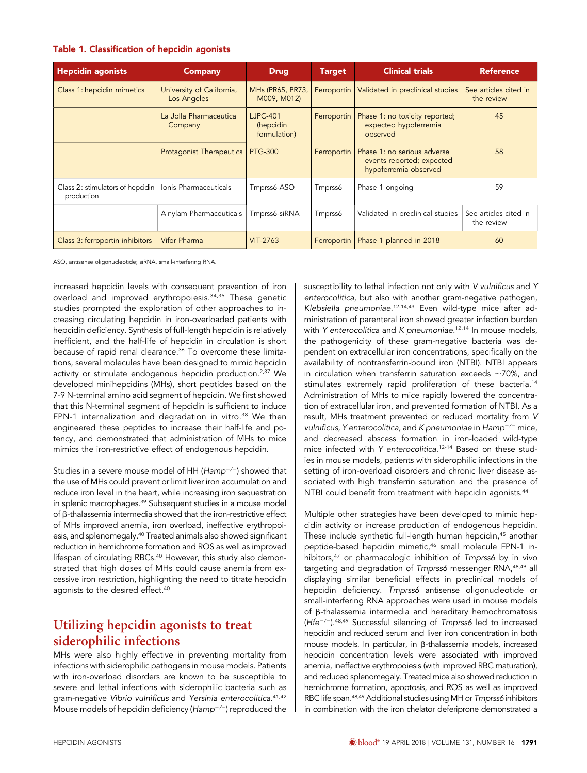#### Table 1. Classification of hepcidin agonists

| <b>Hepcidin agonists</b>                       | <b>Company</b>                           | <b>Drug</b>                                  | <b>Target</b> | <b>Clinical trials</b>                                                            | <b>Reference</b>                    |
|------------------------------------------------|------------------------------------------|----------------------------------------------|---------------|-----------------------------------------------------------------------------------|-------------------------------------|
| Class 1: hepcidin mimetics                     | University of California,<br>Los Angeles | MHs (PR65, PR73,<br>M009, M012)              | Ferroportin   | Validated in preclinical studies                                                  | See articles cited in<br>the review |
|                                                | La Jolla Pharmaceutical<br>Company       | <b>LJPC-401</b><br>(hepcidin<br>formulation) | Ferroportin   | Phase 1: no toxicity reported;<br>expected hypoferremia<br>observed               | 45                                  |
|                                                | <b>Protagonist Therapeutics</b>          | <b>PTG-300</b>                               | Ferroportin   | Phase 1: no serious adverse<br>events reported; expected<br>hypoferremia observed | 58                                  |
| Class 2: stimulators of hepcidin<br>production | Ionis Pharmaceuticals                    | Tmprss6-ASO                                  | Tmprss6       | Phase 1 ongoing                                                                   | 59                                  |
|                                                | Alnylam Pharmaceuticals                  | Tmprss6-siRNA                                | Tmprss6       | Validated in preclinical studies                                                  | See articles cited in<br>the review |
| Class 3: ferroportin inhibitors                | <b>Vifor Pharma</b>                      | <b>VIT-2763</b>                              | Ferroportin   | Phase 1 planned in 2018                                                           | 60                                  |

ASO, antisense oligonucleotide; siRNA, small-interfering RNA.

increased hepcidin levels with consequent prevention of iron overload and improved erythropoiesis.34,35 These genetic studies prompted the exploration of other approaches to increasing circulating hepcidin in iron-overloaded patients with hepcidin deficiency. Synthesis of full-length hepcidin is relatively inefficient, and the half-life of hepcidin in circulation is short because of rapid renal clearance.<sup>36</sup> To overcome these limitations, several molecules have been designed to mimic hepcidin activity or stimulate endogenous hepcidin production.2,37 We developed minihepcidins (MHs), short peptides based on the 7-9 N-terminal amino acid segment of hepcidin. We first showed that this N-terminal segment of hepcidin is sufficient to induce FPN-1 internalization and degradation in vitro. $38$  We then engineered these peptides to increase their half-life and potency, and demonstrated that administration of MHs to mice mimics the iron-restrictive effect of endogenous hepcidin.

Studies in a severe mouse model of HH ( $\text{Hamp}^{-/-}$ ) showed that the use of MHs could prevent or limit liver iron accumulation and reduce iron level in the heart, while increasing iron sequestration in splenic macrophages.<sup>39</sup> Subsequent studies in a mouse model of  $\beta$ -thalassemia intermedia showed that the iron-restrictive effect of MHs improved anemia, iron overload, ineffective erythropoiesis, and splenomegaly.40 Treated animals also showed significant reduction in hemichrome formation and ROS as well as improved lifespan of circulating RBCs.<sup>40</sup> However, this study also demonstrated that high doses of MHs could cause anemia from excessive iron restriction, highlighting the need to titrate hepcidin agonists to the desired effect.<sup>40</sup>

### Utilizing hepcidin agonists to treat siderophilic infections

MHs were also highly effective in preventing mortality from infections with siderophilic pathogens in mouse models. Patients with iron-overload disorders are known to be susceptible to severe and lethal infections with siderophilic bacteria such as gram-negative Vibrio vulnificus and Yersinia enterocolitica.<sup>41,42</sup> Mouse models of hepcidin deficiency ( $\text{Hamp}^{-/-}$ ) reproduced the susceptibility to lethal infection not only with V vulnificus and Y enterocolitica, but also with another gram-negative pathogen, Klebsiella pneumoniae.<sup>12-14,43</sup> Even wild-type mice after administration of parenteral iron showed greater infection burden with Y enterocolitica and K pneumoniae.<sup>12,14</sup> In mouse models, the pathogenicity of these gram-negative bacteria was dependent on extracellular iron concentrations, specifically on the availability of nontransferrin-bound iron (NTBI). NTBI appears in circulation when transferrin saturation exceeds  $\sim$ 70%, and stimulates extremely rapid proliferation of these bacteria.<sup>14</sup> Administration of MHs to mice rapidly lowered the concentration of extracellular iron, and prevented formation of NTBI. As a result, MHs treatment prevented or reduced mortality from V vulnificus, Y enterocolitica, and K pneumoniae in  $Hamp^{-/-}$  mice, and decreased abscess formation in iron-loaded wild-type mice infected with Y enterocolitica. 12-14 Based on these studies in mouse models, patients with siderophilic infections in the setting of iron-overload disorders and chronic liver disease associated with high transferrin saturation and the presence of NTBI could benefit from treatment with hepcidin agonists.<sup>44</sup>

Multiple other strategies have been developed to mimic hepcidin activity or increase production of endogenous hepcidin. These include synthetic full-length human hepcidin,<sup>45</sup> another peptide-based hepcidin mimetic,<sup>46</sup> small molecule FPN-1 inhibitors,<sup>47</sup> or pharmacologic inhibition of Tmprss6 by in vivo targeting and degradation of Tmprss6 messenger RNA,<sup>48,49</sup> all displaying similar beneficial effects in preclinical models of hepcidin deficiency. Tmprss6 antisense oligonucleotide or small-interfering RNA approaches were used in mouse models of  $\beta$ -thalassemia intermedia and hereditary hemochromatosis (Hfe<sup> $-/-$ </sup>).<sup>48,49</sup> Successful silencing of Tmprss6 led to increased hepcidin and reduced serum and liver iron concentration in both mouse models. In particular, in β-thalassemia models, increased hepcidin concentration levels were associated with improved anemia, ineffective erythropoiesis (with improved RBC maturation), and reduced splenomegaly. Treated mice also showed reduction in hemichrome formation, apoptosis, and ROS as well as improved RBC life span.<sup>48,49</sup> Additional studies using MH or Tmprss6 inhibitors in combination with the iron chelator deferiprone demonstrated a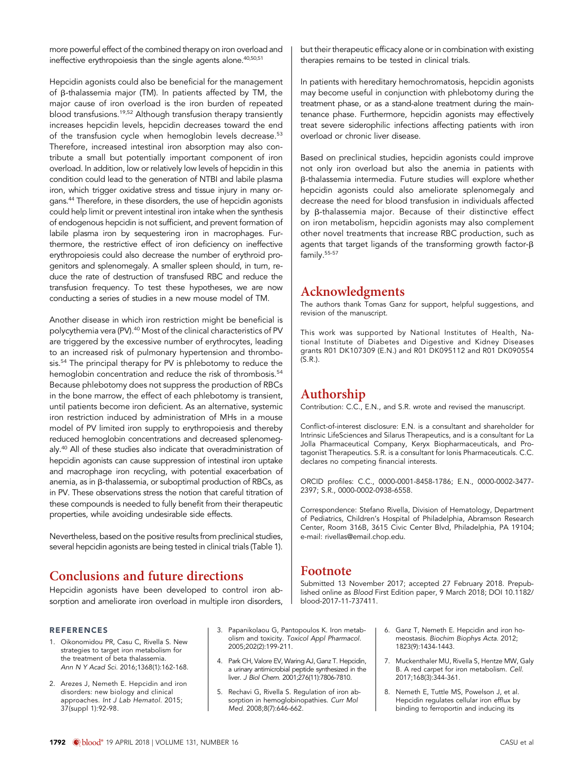more powerful effect of the combined therapy on iron overload and ineffective erythropoiesis than the single agents alone.<sup>40,50,51</sup>

Hepcidin agonists could also be beneficial for the management of  $\beta$ -thalassemia major (TM). In patients affected by TM, the major cause of iron overload is the iron burden of repeated blood transfusions.19,52 Although transfusion therapy transiently increases hepcidin levels, hepcidin decreases toward the end of the transfusion cycle when hemoglobin levels decrease.<sup>53</sup> Therefore, increased intestinal iron absorption may also contribute a small but potentially important component of iron overload. In addition, low or relatively low levels of hepcidin in this condition could lead to the generation of NTBI and labile plasma iron, which trigger oxidative stress and tissue injury in many organs.44 Therefore, in these disorders, the use of hepcidin agonists could help limit or prevent intestinal iron intake when the synthesis of endogenous hepcidin is not sufficient, and prevent formation of labile plasma iron by sequestering iron in macrophages. Furthermore, the restrictive effect of iron deficiency on ineffective erythropoiesis could also decrease the number of erythroid progenitors and splenomegaly. A smaller spleen should, in turn, reduce the rate of destruction of transfused RBC and reduce the transfusion frequency. To test these hypotheses, we are now conducting a series of studies in a new mouse model of TM.

Another disease in which iron restriction might be beneficial is polycythemia vera (PV).<sup>40</sup> Most of the clinical characteristics of PV are triggered by the excessive number of erythrocytes, leading to an increased risk of pulmonary hypertension and thrombosis.<sup>54</sup> The principal therapy for PV is phlebotomy to reduce the hemoglobin concentration and reduce the risk of thrombosis.<sup>54</sup> Because phlebotomy does not suppress the production of RBCs in the bone marrow, the effect of each phlebotomy is transient, until patients become iron deficient. As an alternative, systemic iron restriction induced by administration of MHs in a mouse model of PV limited iron supply to erythropoiesis and thereby reduced hemoglobin concentrations and decreased splenomegaly.40 All of these studies also indicate that overadministration of hepcidin agonists can cause suppression of intestinal iron uptake and macrophage iron recycling, with potential exacerbation of anemia, as in  $\beta$ -thalassemia, or suboptimal production of RBCs, as in PV. These observations stress the notion that careful titration of these compounds is needed to fully benefit from their therapeutic properties, while avoiding undesirable side effects.

Nevertheless, based on the positive results from preclinical studies, several hepcidin agonists are being tested in clinical trials (Table 1).

# Conclusions and future directions

Hepcidin agonists have been developed to control iron absorption and ameliorate iron overload in multiple iron disorders,

#### REFERENCES

- 1. Oikonomidou PR, Casu C, Rivella S. New strategies to target iron metabolism for the treatment of beta thalassemia. Ann N Y Acad Sci. 2016;1368(1):162-168.
- 2. Arezes J, Nemeth E. Hepcidin and iron disorders: new biology and clinical approaches. Int J Lab Hematol. 2015; 37(suppl 1):92-98.

3. Papanikolaou G, Pantopoulos K. Iron metabolism and toxicity. Toxicol Appl Pharmacol. 2005;202(2):199-211.

- 4. Park CH, Valore EV, Waring AJ, Ganz T. Hepcidin, a urinary antimicrobial peptide synthesized in the liver. J Biol Chem. 2001;276(11):7806-7810.
- 5. Rechavi G, Rivella S. Regulation of iron absorption in hemoglobinopathies. Curr Mol Med. 2008;8(7):646-662.

but their therapeutic efficacy alone or in combination with existing therapies remains to be tested in clinical trials.

In patients with hereditary hemochromatosis, hepcidin agonists may become useful in conjunction with phlebotomy during the treatment phase, or as a stand-alone treatment during the maintenance phase. Furthermore, hepcidin agonists may effectively treat severe siderophilic infections affecting patients with iron overload or chronic liver disease.

Based on preclinical studies, hepcidin agonists could improve not only iron overload but also the anemia in patients with b-thalassemia intermedia. Future studies will explore whether hepcidin agonists could also ameliorate splenomegaly and decrease the need for blood transfusion in individuals affected by  $\beta$ -thalassemia major. Because of their distinctive effect on iron metabolism, hepcidin agonists may also complement other novel treatments that increase RBC production, such as agents that target ligands of the transforming growth factor- $\beta$ family.55-57

#### Acknowledgments

The authors thank Tomas Ganz for support, helpful suggestions, and revision of the manuscript.

This work was supported by National Institutes of Health, National Institute of Diabetes and Digestive and Kidney Diseases grants R01 DK107309 (E.N.) and R01 DK095112 and R01 DK090554  $(S, R)$ 

# Authorship

Contribution: C.C., E.N., and S.R. wrote and revised the manuscript.

Conflict-of-interest disclosure: E.N. is a consultant and shareholder for Intrinsic LifeSciences and Silarus Therapeutics, and is a consultant for La Jolla Pharmaceutical Company, Keryx Biopharmaceuticals, and Protagonist Therapeutics. S.R. is a consultant for Ionis Pharmaceuticals. C.C. declares no competing financial interests.

ORCID profiles: C.C.[, 0000-0001-8458-1786;](http://orcid.org/0000-0001-8458-1786) E.N[., 0000-0002-3477-](http://orcid.org/0000-0002-3477-2397) [2397;](http://orcid.org/0000-0002-3477-2397) S.R.[, 0000-0002-0938-6558.](http://orcid.org/0000-0002-0938-6558)

Correspondence: Stefano Rivella, Division of Hematology, Department of Pediatrics, Children's Hospital of Philadelphia, Abramson Research Center, Room 316B, 3615 Civic Center Blvd, Philadelphia, PA 19104; e-mail: [rivellas@email.chop.edu](mailto:rivellas@email.chop.edu).

#### Footnote

Submitted 13 November 2017; accepted 27 February 2018. Prepublished online as Blood First Edition paper, 9 March 2018; DOI [10.1182/](https://doi.org/10.1182/blood-2017-11-737411) [blood-2017-11-737411](https://doi.org/10.1182/blood-2017-11-737411).

- 6. Ganz T, Nemeth E. Hepcidin and iron homeostasis. Biochim Biophys Acta. 2012; 1823(9):1434-1443.
- 7. Muckenthaler MU, Rivella S, Hentze MW, Galy B. A red carpet for iron metabolism. Cell. 2017;168(3):344-361.
- 8. Nemeth E, Tuttle MS, Powelson J, et al. Hepcidin regulates cellular iron efflux by binding to ferroportin and inducing its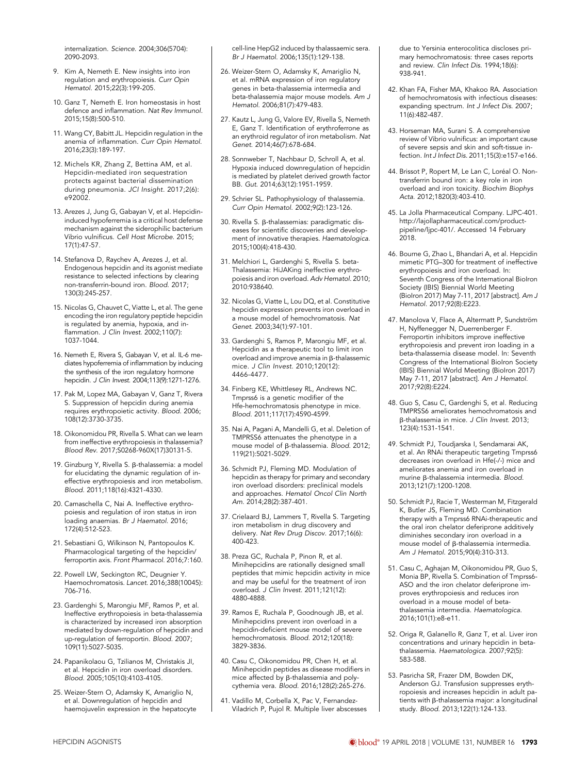internalization. Science. 2004;306(5704): 2090-2093.

- 9. Kim A, Nemeth E. New insights into iron regulation and erythropoiesis. Curr Opin Hematol. 2015;22(3):199-205.
- 10. Ganz T, Nemeth E. Iron homeostasis in host defence and inflammation. Nat Rev Immunol. 2015;15(8):500-510.
- 11. Wang CY, Babitt JL. Hepcidin regulation in the anemia of inflammation. Curr Opin Hematol. 2016;23(3):189-197.
- 12. Michels KR, Zhang Z, Bettina AM, et al. Hepcidin-mediated iron sequestration protects against bacterial dissemination during pneumonia. JCI Insight. 2017;2(6):  $-92002$
- 13. Arezes J, Jung G, Gabayan V, et al. Hepcidininduced hypoferremia is a critical host defense mechanism against the siderophilic bacterium Vibrio vulnificus. Cell Host Microbe. 2015; 17(1):47-57.
- 14. Stefanova D, Raychev A, Arezes J, et al. Endogenous hepcidin and its agonist mediate resistance to selected infections by clearing non-transferrin-bound iron. Blood. 2017; 130(3):245-257.
- 15. Nicolas G, Chauvet C, Viatte L, et al. The gene encoding the iron regulatory peptide hepcidin is regulated by anemia, hypoxia, and inflammation. J Clin Invest. 2002;110(7): 1037-1044.
- 16. Nemeth E, Rivera S, Gabayan V, et al. IL-6 mediates hypoferremia of inflammation by inducing the synthesis of the iron regulatory hormone hepcidin. J Clin Invest. 2004;113(9):1271-1276.
- 17. Pak M, Lopez MA, Gabayan V, Ganz T, Rivera S. Suppression of hepcidin during anemia requires erythropoietic activity. Blood. 2006; 108(12):3730-3735.
- 18. Oikonomidou PR, Rivella S. What can we learn from ineffective erythropoiesis in thalassemia? Blood Rev. 2017;S0268-960X(17)30131-5.
- 19. Ginzburg Υ, Rivella S. β-thalassemia: a model for elucidating the dynamic regulation of ineffective erythropoiesis and iron metabolism. Blood. 2011;118(16):4321-4330.
- 20. Camaschella C, Nai A. Ineffective erythropoiesis and regulation of iron status in iron loading anaemias. Br J Haematol. 2016; 172(4):512-523.
- 21. Sebastiani G, Wilkinson N, Pantopoulos K. Pharmacological targeting of the hepcidin/ ferroportin axis. Front Pharmacol. 2016;7:160.
- 22. Powell LW, Seckington RC, Deugnier Y. Haemochromatosis. Lancet. 2016;388(10045): 706-716.
- 23. Gardenghi S, Marongiu MF, Ramos P, et al. Ineffective erythropoiesis in beta-thalassemia is characterized by increased iron absorption mediated by down-regulation of hepcidin and up-regulation of ferroportin. Blood. 2007; 109(11):5027-5035.
- 24. Papanikolaou G, Tzilianos M, Christakis JI, et al. Hepcidin in iron overload disorders. Blood. 2005;105(10):4103-4105.
- 25. Weizer-Stern O, Adamsky K, Amariglio N, et al. Downregulation of hepcidin and haemojuvelin expression in the hepatocyte

cell-line HepG2 induced by thalassaemic sera. Br J Haematol. 2006;135(1):129-138.

- 26. Weizer-Stern O, Adamsky K, Amariglio N, et al. mRNA expression of iron regulatory genes in beta-thalassemia intermedia and beta-thalassemia major mouse models. Am J Hematol. 2006;81(7):479-483.
- 27. Kautz L, Jung G, Valore EV, Rivella S, Nemeth E, Ganz T. Identification of erythroferrone as an erythroid regulator of iron metabolism. Nat Genet. 2014;46(7):678-684.
- 28. Sonnweber T, Nachbaur D, Schroll A, et al. Hypoxia induced downregulation of hepcidin is mediated by platelet derived growth factor BB. Gut. 2014;63(12):1951-1959.
- 29. Schrier SL. Pathophysiology of thalassemia. Curr Opin Hematol. 2002;9(2):123-126.
- 30. Rivella S. β-thalassemias: paradigmatic diseases for scientific discoveries and development of innovative therapies. Haematologica. 2015;100(4):418-430.
- 31. Melchiori L, Gardenghi S, Rivella S. beta-Thalassemia: HiJAKing ineffective erythropoiesis and iron overload. Adv Hematol. 2010; 2010:938640.
- 32. Nicolas G, Viatte L, Lou DQ, et al. Constitutive hepcidin expression prevents iron overload in a mouse model of hemochromatosis. Nat Genet. 2003;34(1):97-101.
- 33. Gardenghi S, Ramos P, Marongiu MF, et al. Hepcidin as a therapeutic tool to limit iron overload and improve anemia in  $\beta$ -thalassemic mice. J Clin Invest. 2010;120(12): 4466-4477.
- 34. Finberg KE, Whittlesey RL, Andrews NC. Tmprss6 is a genetic modifier of the Hfe-hemochromatosis phenotype in mice. Blood. 2011;117(17):4590-4599.
- 35. Nai A, Pagani A, Mandelli G, et al. Deletion of TMPRSS6 attenuates the phenotype in a mouse model of  $\beta$ -thalassemia. Blood. 2012; 119(21):5021-5029.
- 36. Schmidt PJ, Fleming MD. Modulation of hepcidin as therapy for primary and secondary iron overload disorders: preclinical models and approaches. Hematol Oncol Clin North Am. 2014;28(2):387-401.
- 37. Crielaard BJ, Lammers T, Rivella S. Targeting iron metabolism in drug discovery and delivery. Nat Rev Drug Discov. 2017;16(6): 400-423.
- 38. Preza GC, Ruchala P, Pinon R, et al. Minihepcidins are rationally designed small peptides that mimic hepcidin activity in mice and may be useful for the treatment of iron overload. J Clin Invest. 2011;121(12): 4880-4888.
- 39. Ramos E, Ruchala P, Goodnough JB, et al. Minihepcidins prevent iron overload in a hepcidin-deficient mouse model of severe hemochromatosis. Blood. 2012;120(18): 3829-3836.
- 40. Casu C, Oikonomidou PR, Chen H, et al. Minihepcidin peptides as disease modifiers in mice affected by  $\beta$ -thalassemia and polycythemia vera. Blood. 2016;128(2):265-276.
- 41. Vadillo M, Corbella X, Pac V, Fernandez-Viladrich P, Pujol R. Multiple liver abscesses

due to Yersinia enterocolitica discloses primary hemochromatosis: three cases reports and review. Clin Infect Dis. 1994;18(6): 938-941.

- 42. Khan FA, Fisher MA, Khakoo RA. Association of hemochromatosis with infectious diseases: expanding spectrum. Int J Infect Dis. 2007; 11(6):482-487.
- 43. Horseman MA, Surani S. A comprehensive review of Vibrio vulnificus: an important cause of severe sepsis and skin and soft-tissue infection. Int J Infect Dis. 2011;15(3):e157-e166.
- 44. Brissot P, Ropert M, Le Lan C, Loréal O. Nontransferrin bound iron: a key role in iron overload and iron toxicity. Biochim Biophys Acta. 2012;1820(3):403-410.
- 45. La Jolla Pharmaceutical Company. LJPC-401. [http://lajollapharmaceutical.com/product](http://lajollapharmaceutical.com/product-pipeline/ljpc-401/)[pipeline/ljpc-401/.](http://lajollapharmaceutical.com/product-pipeline/ljpc-401/) Accessed 14 February 2018.
- 46. Bourne G, Zhao L, Bhandari A, et al. Hepcidin mimetic PTG–300 for treatment of ineffective erythropoiesis and iron overload. In: Seventh Congress of the International BioIron Society (IBIS) Biennial World Meeting (BioIron 2017) May 7-11, 2017 [abstract]. Am J Hematol. 2017;92(8):E223.
- 47. Manolova V, Flace A, Altermatt P, Sundström H, Nyffenegger N, Duerrenberger F. Ferroportin inhibitors improve ineffective erythropoiesis and prevent iron loading in a beta-thalassemia disease model. In: Seventh Congress of the International BioIron Society (IBIS) Biennial World Meeting (BioIron 2017) May 7-11, 2017 [abstract]. Am J Hematol. 2017;92(8):E224.
- 48. Guo S, Casu C, Gardenghi S, et al. Reducing TMPRSS6 ameliorates hemochromatosis and b-thalassemia in mice. J Clin Invest. 2013; 123(4):1531-1541.
- 49. Schmidt PJ, Toudjarska I, Sendamarai AK, et al. An RNAi therapeutic targeting Tmprss6 decreases iron overload in Hfe(-/-) mice and ameliorates anemia and iron overload in murine B-thalassemia intermedia. Blood. 2013;121(7):1200-1208.
- 50. Schmidt PJ, Racie T, Westerman M, Fitzgerald K, Butler JS, Fleming MD. Combination therapy with a Tmprss6 RNAi-therapeutic and the oral iron chelator deferiprone additively diminishes secondary iron overload in a mouse model of  $\beta$ -thalassemia intermedia. Am J Hematol. 2015;90(4):310-313.
- 51. Casu C, Aghajan M, Oikonomidou PR, Guo S, Monia BP, Rivella S. Combination of Tmprss6- ASO and the iron chelator deferiprone improves erythropoiesis and reduces iron overload in a mouse model of betathalassemia intermedia. Haematologica. 2016;101(1):e8-e11.
- 52. Origa R, Galanello R, Ganz T, et al. Liver iron concentrations and urinary hepcidin in betathalassemia. Haematologica. 2007;92(5): 583-588.
- 53. Pasricha SR, Frazer DM, Bowden DK, Anderson GJ. Transfusion suppresses erythropoiesis and increases hepcidin in adult patients with β-thalassemia major: a longitudinal study. Blood. 2013;122(1):124-133.